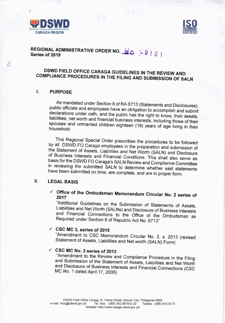

 $R_{A_O}$ 



# REGIONAL ADMINISTRATIVE ORDER NO.  $\mathbb{S}$  :  $\sim$  0 1 0 1 Series of 2019

# DSWD FIELD OFFICE CARAGA GUIDELINES IN THE REVIEW AND COMPLIANCE PROCEDURES IN THE FILING AND SUBMISSION OF SALN

#### I. **PURPOSE**

As mandated under Section 8 of RA 6713 (Statements and Disclosures), public officials and employees have an obligation to accomplish and submit declarations under oath, and the public has the right to know, their assets, liabilities, net worth and financial business interests, including those of their spouses and unmarried children eighteen (18) years of age living in their household.

This Regional Special Order prescribes the procedures to be followed by all DSWD FO Caraga employees in the preparation and submission of the Statement of Assets, Liabilities and Net Worth (SALN) and Disclosure of Business Interests and Financial Conditions. This shall also serve as basis for the DSWD FO Caraga's SALN Review and Compliance Committee in reviewing the submitted SALN to determine whether said statements have been submitted on time, are complete, and are in proper form.

#### ΙΙ. **LEGAL BASIS**

## $\checkmark$  Office of the Ombudsman Memorandum Circular No. 2 series of 2017

"Additional Guidelines on the Submission of Statements of Assets, Liabilities and Net Worth (SALNs) and Disclosure of Business Interests and Financial Connections to the Office of the Ombudsman as Required under Section 8 of Republic Act No. 6713"

## $\checkmark$  CSC MC 3, series of 2015

"Amendment to CSC Memorandum Circular No. 2, s. 2013 (revised Statement of Assets, Liabilities and Net worth (SALN) Form)

## $\checkmark$  CSC MC No. 3 series of 2013

"Amendment to the Review and Compliance Procedure in the Filing and Submission of the Statement of Assets, Liabilities and Net Worth and Disclosure of Business Interests and Financial Connections (CSC MC No. 1 dated April 17, 2006)